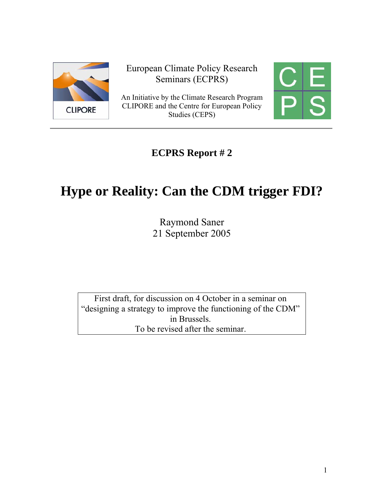

European Climate Policy Research Seminars (ECPRS)

An Initiative by the Climate Research Program CLIPORE and the Centre for European Policy Studies (CEPS)

# **ECPRS Report # 2**

# **Hype or Reality: Can the CDM trigger FDI?**

Raymond Saner 21 September 2005

First draft, for discussion on 4 October in a seminar on "designing a strategy to improve the functioning of the CDM" in Brussels. To be revised after the seminar.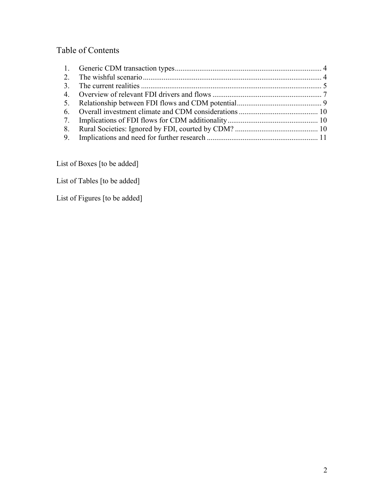# Table of Contents

List of Boxes [to be added]

List of Tables [to be added]

List of Figures [to be added]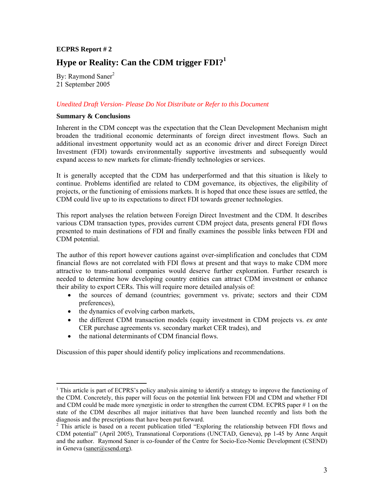#### **ECPRS Report # 2**

# **Hype or Reality: Can the CDM trigger FDI?<sup>1</sup>**

By: Raymond Saner<sup>2</sup> 21 September 2005

#### *Unedited Draft Version- Please Do Not Distribute or Refer to this Document*

#### **Summary & Conclusions**

Inherent in the CDM concept was the expectation that the Clean Development Mechanism might broaden the traditional economic determinants of foreign direct investment flows. Such an additional investment opportunity would act as an economic driver and direct Foreign Direct Investment (FDI) towards environmentally supportive investments and subsequently would expand access to new markets for climate-friendly technologies or services.

It is generally accepted that the CDM has underperformed and that this situation is likely to continue. Problems identified are related to CDM governance, its objectives, the eligibility of projects, or the functioning of emissions markets. It is hoped that once these issues are settled, the CDM could live up to its expectations to direct FDI towards greener technologies.

This report analyses the relation between Foreign Direct Investment and the CDM. It describes various CDM transaction types, provides current CDM project data, presents general FDI flows presented to main destinations of FDI and finally examines the possible links between FDI and CDM potential.

The author of this report however cautions against over-simplification and concludes that CDM financial flows are not correlated with FDI flows at present and that ways to make CDM more attractive to trans-national companies would deserve further exploration. Further research is needed to determine how developing country entities can attract CDM investment or enhance their ability to export CERs. This will require more detailed analysis of:

- the sources of demand (countries; government vs. private; sectors and their CDM preferences),
- the dynamics of evolving carbon markets,

 $\overline{a}$ 

- the different CDM transaction models (equity investment in CDM projects vs. *ex ante* CER purchase agreements vs. secondary market CER trades), and
- the national determinants of CDM financial flows.

Discussion of this paper should identify policy implications and recommendations.

<sup>&</sup>lt;sup>1</sup> This article is part of ECPRS's policy analysis aiming to identify a strategy to improve the functioning of the CDM. Concretely, this paper will focus on the potential link between FDI and CDM and whether FDI and CDM could be made more synergistic in order to strengthen the current CDM. ECPRS paper # 1 on the state of the CDM describes all major initiatives that have been launched recently and lists both the diagnosis and the prescriptions that have been put forward. <sup>2</sup>

<sup>&</sup>lt;sup>2</sup> This article is based on a recent publication titled "Exploring the relationship between FDI flows and CDM potential" (April 2005), Transnational Corporations (UNCTAD, Geneva), pp 1-45 by Anne Arquit and the author. Raymond Saner is co-founder of the Centre for Socio-Eco-Nomic Development (CSEND) in Geneva (saner@csend.org).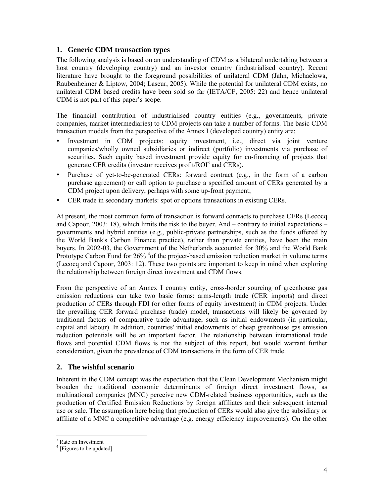# **1. Generic CDM transaction types**

The following analysis is based on an understanding of CDM as a bilateral undertaking between a host country (developing country) and an investor country (industrialised country). Recent literature have brought to the foreground possibilities of unilateral CDM (Jahn, Michaelowa, Raubenheimer & Liptow, 2004; Laseur, 2005). While the potential for unilateral CDM exists, no unilateral CDM based credits have been sold so far (IETA/CF, 2005: 22) and hence unilateral CDM is not part of this paper's scope.

The financial contribution of industrialised country entities (e.g., governments, private companies, market intermediaries) to CDM projects can take a number of forms. The basic CDM transaction models from the perspective of the Annex I (developed country) entity are:

- Investment in CDM projects: equity investment, i.e., direct via joint venture companies/wholly owned subsidiaries or indirect (portfolio) investments via purchase of securities. Such equity based investment provide equity for co-financing of projects that generate CER credits (investor receives profit/ROI<sup>3</sup> and CERs).
- y Purchase of yet-to-be-generated CERs: forward contract (e.g., in the form of a carbon purchase agreement) or call option to purchase a specified amount of CERs generated by a CDM project upon delivery, perhaps with some up-front payment;
- CER trade in secondary markets: spot or options transactions in existing CERs.

At present, the most common form of transaction is forward contracts to purchase CERs (Lecocq and Capoor, 2003: 18), which limits the risk to the buyer. And – contrary to initial expectations – governments and hybrid entities (e.g., public-private partnerships, such as the funds offered by the World Bank's Carbon Finance practice), rather than private entities, have been the main buyers. In 2002-03, the Government of the Netherlands accounted for 30% and the World Bank Prototype Carbon Fund for 26% <sup>4</sup>of the project-based emission reduction market in volume terms (Lecocq and Capoor, 2003: 12). These two points are important to keep in mind when exploring the relationship between foreign direct investment and CDM flows.

From the perspective of an Annex I country entity, cross-border sourcing of greenhouse gas emission reductions can take two basic forms: arms-length trade (CER imports) and direct production of CERs through FDI (or other forms of equity investment) in CDM projects. Under the prevailing CER forward purchase (trade) model, transactions will likely be governed by traditional factors of comparative trade advantage, such as initial endowments (in particular, capital and labour). In addition, countries' initial endowments of cheap greenhouse gas emission reduction potentials will be an important factor. The relationship between international trade flows and potential CDM flows is not the subject of this report, but would warrant further consideration, given the prevalence of CDM transactions in the form of CER trade.

# **2. The wishful scenario**

Inherent in the CDM concept was the expectation that the Clean Development Mechanism might broaden the traditional economic determinants of foreign direct investment flows, as multinational companies (MNC) perceive new CDM-related business opportunities, such as the production of Certified Emission Reductions by foreign affiliates and their subsequent internal use or sale. The assumption here being that production of CERs would also give the subsidiary or affiliate of a MNC a competitive advantage (e.g. energy efficiency improvements). On the other

 $\frac{3}{4}$  Rate on Investment

 $<sup>4</sup>$  [Figures to be updated]</sup>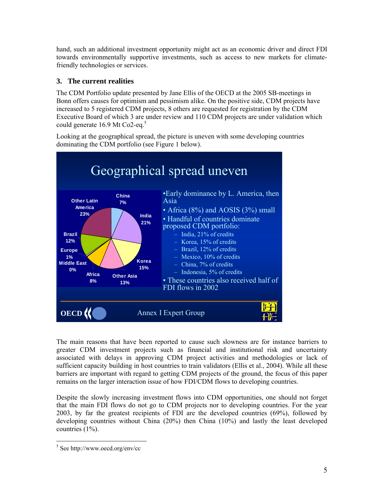hand, such an additional investment opportunity might act as an economic driver and direct FDI towards environmentally supportive investments, such as access to new markets for climatefriendly technologies or services.

# **3. The current realities**

The CDM Portfolio update presented by Jane Ellis of the OECD at the 2005 SB-meetings in Bonn offers causes for optimism and pessimism alike. On the positive side, CDM projects have increased to 5 registered CDM projects, 8 others are requested for registration by the CDM Executive Board of which 3 are under review and 110 CDM projects are under validation which could generate  $16.9$  Mt Co2-eq.<sup>5</sup>

Looking at the geographical spread, the picture is uneven with some developing countries dominating the CDM portfolio (see Figure 1 below).



The main reasons that have been reported to cause such slowness are for instance barriers to greater CDM investment projects such as financial and institutional risk and uncertainty associated with delays in approving CDM project activities and methodologies or lack of sufficient capacity building in host countries to train validators (Ellis et al., 2004). While all these barriers are important with regard to getting CDM projects of the ground, the focus of this paper remains on the larger interaction issue of how FDI/CDM flows to developing countries.

Despite the slowly increasing investment flows into CDM opportunities, one should not forget that the main FDI flows do not go to CDM projects nor to developing countries. For the year 2003, by far the greatest recipients of FDI are the developed countries (69%), followed by developing countries without China (20%) then China (10%) and lastly the least developed countries (1%).

 $\overline{a}$ 

<sup>5</sup> See http://www.oecd.org/env/cc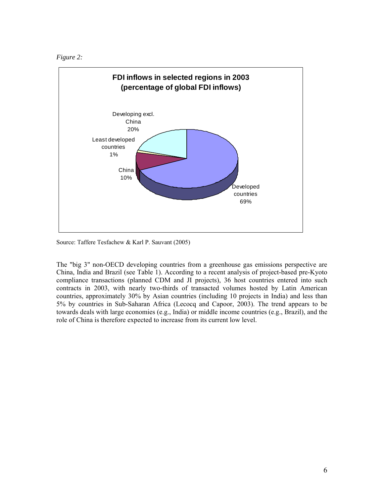



Source: Taffere Tesfachew & Karl P. Sauvant (2005)

The "big 3" non-OECD developing countries from a greenhouse gas emissions perspective are China, India and Brazil (see Table 1). According to a recent analysis of project-based pre-Kyoto compliance transactions (planned CDM and JI projects), 36 host countries entered into such contracts in 2003, with nearly two-thirds of transacted volumes hosted by Latin American countries, approximately 30% by Asian countries (including 10 projects in India) and less than 5% by countries in Sub-Saharan Africa (Lecocq and Capoor, 2003). The trend appears to be towards deals with large economies (e.g., India) or middle income countries (e.g., Brazil), and the role of China is therefore expected to increase from its current low level.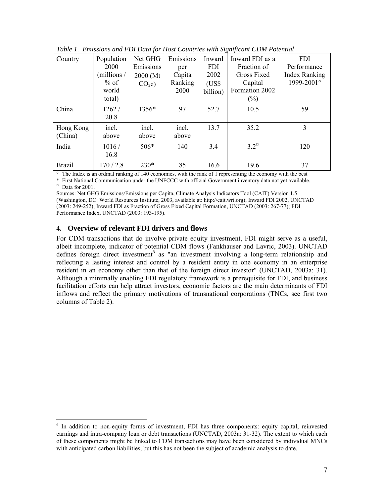|                      |                                                                |                                                        |                                               |                                                   | $\cdot$                                                                                     |                                                                 |
|----------------------|----------------------------------------------------------------|--------------------------------------------------------|-----------------------------------------------|---------------------------------------------------|---------------------------------------------------------------------------------------------|-----------------------------------------------------------------|
| Country              | Population<br>2000<br>(millions /<br>$%$ of<br>world<br>total) | Net GHG<br>Emissions<br>2000 (Mt)<br>CO <sub>2</sub> e | Emissions<br>per<br>Capita<br>Ranking<br>2000 | Inward<br><b>FDI</b><br>2002<br>(USS)<br>billion) | Inward FDI as a<br>Fraction of<br><b>Gross Fixed</b><br>Capital<br>Formation 2002<br>$(\%)$ | <b>FDI</b><br>Performance<br><b>Index Ranking</b><br>1999-2001° |
| China                | 1262/<br>20.8                                                  | 1356*                                                  | 97                                            | 52.7                                              | 10.5                                                                                        | 59                                                              |
| Hong Kong<br>(China) | incl.<br>above                                                 | incl.<br>above                                         | incl.<br>above                                | 13.7                                              | 35.2                                                                                        | 3                                                               |
| India                | 1016/<br>16.8                                                  | $506*$                                                 | 140                                           | 3.4                                               | $3.2^\circ$                                                                                 | 120                                                             |
| <b>Brazil</b>        | 170/2.8                                                        | $230*$                                                 | 85                                            | 16.6                                              | 19.6                                                                                        | 37                                                              |

*Table 1. Emissions and FDI Data for Host Countries with Significant CDM Potential* 

° The Index is an ordinal ranking of 140 economies, with the rank of 1 representing the economy with the best

\* First National Communication under the UNFCCC with official Government inventory data not yet available. □ Data for 2001.

Sources: Net GHG Emissions/Emissions per Capita, Climate Analysis Indicators Tool (CAIT) Version 1.5 (Washington, DC: World Resources Institute, 2003, available at: http://cait.wri.org); Inward FDI 2002, UNCTAD (2003: 249-252); Inward FDI as Fraction of Gross Fixed Capital Formation, UNCTAD (2003: 267-77); FDI Performance Index, UNCTAD (2003: 193-195).

# **4. Overview of relevant FDI drivers and flows**

For CDM transactions that do involve private equity investment, FDI might serve as a useful, albeit incomplete, indicator of potential CDM flows (Fankhauser and Lavric, 2003). UNCTAD defines foreign direct investment<sup>6</sup> as "an investment involving a long-term relationship and reflecting a lasting interest and control by a resident entity in one economy in an enterprise resident in an economy other than that of the foreign direct investor" (UNCTAD, 2003a: 31). Although a minimally enabling FDI regulatory framework is a prerequisite for FDI, and business facilitation efforts can help attract investors, economic factors are the main determinants of FDI inflows and reflect the primary motivations of transnational corporations (TNCs, see first two columns of Table 2).

 6 In addition to non-equity forms of investment, FDI has three components: equity capital, reinvested earnings and intra-company loan or debt transactions (UNCTAD, 2003a: 31-32). The extent to which each of these components might be linked to CDM transactions may have been considered by individual MNCs with anticipated carbon liabilities, but this has not been the subject of academic analysis to date.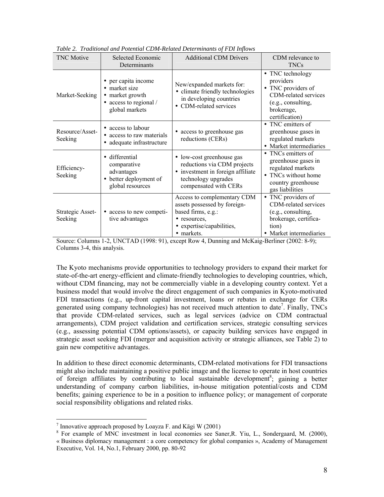| <b>TNC</b> Motive           | Selected Economic<br>Determinants                                                                   | <b>Additional CDM Drivers</b>                                                                                                                 | CDM relevance to<br><b>TNCs</b>                                                                                                   |
|-----------------------------|-----------------------------------------------------------------------------------------------------|-----------------------------------------------------------------------------------------------------------------------------------------------|-----------------------------------------------------------------------------------------------------------------------------------|
| Market-Seeking              | • per capita income<br>• market size<br>• market growth<br>• access to regional /<br>global markets | New/expanded markets for:<br>• climate friendly technologies<br>in developing countries<br>• CDM-related services                             | • TNC technology<br>providers<br>• TNC providers of<br>CDM-related services<br>(e.g., consulting,<br>brokerage,<br>certification) |
| Resource/Asset-<br>Seeking  | • access to labour<br>• access to raw materials<br>• adequate infrastructure                        | • access to greenhouse gas<br>reductions (CERs)                                                                                               | • TNC emitters of<br>greenhouse gases in<br>regulated markets<br>• Market intermediaries                                          |
| Efficiency-<br>Seeking      | • differential<br>comparative<br>advantages<br>• better deployment of<br>global resources           | • low-cost greenhouse gas<br>reductions via CDM projects<br>• investment in foreign affiliate<br>technology upgrades<br>compensated with CERs | • TNCs emitters of<br>greenhouse gases in<br>regulated markets<br>• TNCs without home<br>country greenhouse<br>gas liabilities    |
| Strategic Asset-<br>Seeking | access to new competi-<br>٠<br>tive advantages                                                      | Access to complementary CDM<br>assets possessed by foreign-<br>based firms, e.g.:<br>• resources,<br>• expertise/capabilities,<br>• markets.  | • TNC providers of<br>CDM-related services<br>(e.g., consulting,<br>brokerage, certifica-<br>tion)<br>• Market intermediaries     |

*Table 2. Traditional and Potential CDM-Related Determinants of FDI Inflows* 

Source: Columns 1-2, UNCTAD (1998: 91), except Row 4, Dunning and McKaig-Berliner (2002: 8-9); Columns 3-4, this analysis.

The Kyoto mechanisms provide opportunities to technology providers to expand their market for state-of-the-art energy-efficient and climate-friendly technologies to developing countries, which, without CDM financing, may not be commercially viable in a developing country context. Yet a business model that would involve the direct engagement of such companies in Kyoto-motivated FDI transactions (e.g., up-front capital investment, loans or rebates in exchange for CERs generated using company technologies) has not received much attention to date<sup>7</sup>. Finally, TNCs that provide CDM-related services, such as legal services (advice on CDM contractual arrangements), CDM project validation and certification services, strategic consulting services (e.g., assessing potential CDM options/assets), or capacity building services have engaged in strategic asset seeking FDI (merger and acquisition activity or strategic alliances, see Table 2) to gain new competitive advantages.

In addition to these direct economic determinants, CDM-related motivations for FDI transactions might also include maintaining a positive public image and the license to operate in host countries of foreign affiliates by contributing to local sustainable development<sup>8</sup>; gaining a better understanding of company carbon liabilities, in-house mitigation potential/costs and CDM benefits; gaining experience to be in a position to influence policy; or management of corporate social responsibility obligations and related risks.

<sup>-&</sup>lt;br>7

<sup>&</sup>lt;sup>T</sup> Innovative approach proposed by Loayza F. and Kägi W (2001)<br><sup>8</sup> For example of MNC investment in local economies see Saner,R. Yiu, L., Sondergaard, M. (2000), « Business diplomacy management : a core competency for global companies », Academy of Management Executive, Vol. 14, No.1, February 2000, pp. 80-92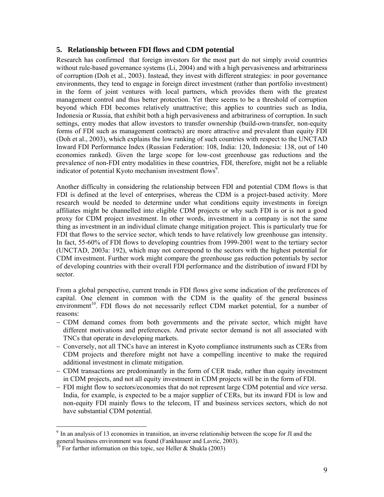# **5. Relationship between FDI flows and CDM potential**

Research has confirmed that foreign investors for the most part do not simply avoid countries without rule-based governance systems (Li, 2004) and with a high pervasiveness and arbitrariness of corruption (Doh et al., 2003). Instead, they invest with different strategies: in poor governance environments, they tend to engage in foreign direct investment (rather than portfolio investment) in the form of joint ventures with local partners, which provides them with the greatest management control and thus better protection. Yet there seems to be a threshold of corruption beyond which FDI becomes relatively unattractive; this applies to countries such as India, Indonesia or Russia, that exhibit both a high pervasiveness and arbitrariness of corruption. In such settings, entry modes that allow investors to transfer ownership (build-own-transfer, non-equity forms of FDI such as management contracts) are more attractive and prevalent than equity FDI (Doh et al., 2003), which explains the low ranking of such countries with respect to the UNCTAD Inward FDI Performance Index (Russian Federation: 108, India: 120, Indonesia: 138, out of 140 economies ranked). Given the large scope for low-cost greenhouse gas reductions and the prevalence of non-FDI entry modalities in these countries, FDI, therefore, might not be a reliable indicator of potential Kyoto mechanism investment flows<sup>9</sup>.

Another difficulty in considering the relationship between FDI and potential CDM flows is that FDI is defined at the level of enterprises, whereas the CDM is a project-based activity. More research would be needed to determine under what conditions equity investments in foreign affiliates might be channelled into eligible CDM projects or why such FDI is or is not a good proxy for CDM project investment. In other words, investment in a company is not the same thing as investment in an individual climate change mitigation project. This is particularly true for FDI that flows to the service sector, which tends to have relatively low greenhouse gas intensity. In fact, 55-60% of FDI flows to developing countries from 1999-2001 went to the tertiary sector (UNCTAD, 2003a: 192), which may not correspond to the sectors with the highest potential for CDM investment. Further work might compare the greenhouse gas reduction potentials by sector of developing countries with their overall FDI performance and the distribution of inward FDI by sector.

From a global perspective, current trends in FDI flows give some indication of the preferences of capital. One element in common with the CDM is the quality of the general business environment<sup>10</sup>. FDI flows do not necessarily reflect CDM market potential, for a number of reasons:

- − CDM demand comes from both governments and the private sector, which might have different motivations and preferences. And private sector demand is not all associated with TNCs that operate in developing markets.
- − Conversely, not all TNCs have an interest in Kyoto compliance instruments such as CERs from CDM projects and therefore might not have a compelling incentive to make the required additional investment in climate mitigation.
- − CDM transactions are predominantly in the form of CER trade, rather than equity investment in CDM projects, and not all equity investment in CDM projects will be in the form of FDI.
- − FDI might flow to sectors/economies that do not represent large CDM potential and *vice versa.* India, for example, is expected to be a major supplier of CERs, but its inward FDI is low and non-equity FDI mainly flows to the telecom, IT and business services sectors, which do not have substantial CDM potential.

 $\overline{a}$ 

 $9<sup>9</sup>$  In an analysis of 13 economies in transition, an inverse relationship between the scope for JI and the general business environment was found (Fankhauser and Lavric, 2003). <sup>10</sup> For further information on this topic, see Heller & Shukla (2003)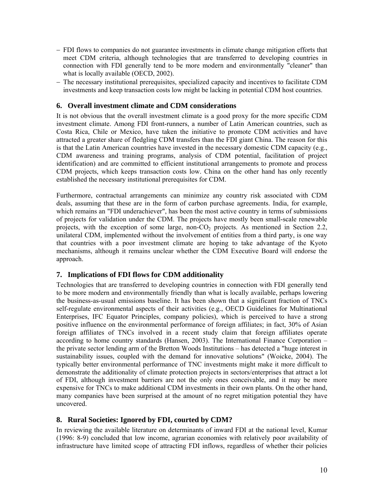- − FDI flows to companies do not guarantee investments in climate change mitigation efforts that meet CDM criteria, although technologies that are transferred to developing countries in connection with FDI generally tend to be more modern and environmentally "cleaner" than what is locally available (OECD, 2002).
- − The necessary institutional prerequisites, specialized capacity and incentives to facilitate CDM investments and keep transaction costs low might be lacking in potential CDM host countries.

#### **6. Overall investment climate and CDM considerations**

It is not obvious that the overall investment climate is a good proxy for the more specific CDM investment climate. Among FDI front-runners, a number of Latin American countries, such as Costa Rica, Chile or Mexico, have taken the initiative to promote CDM activities and have attracted a greater share of fledgling CDM transfers than the FDI giant China. The reason for this is that the Latin American countries have invested in the necessary domestic CDM capacity (e.g., CDM awareness and training programs, analysis of CDM potential, facilitation of project identification) and are committed to efficient institutional arrangements to promote and process CDM projects, which keeps transaction costs low. China on the other hand has only recently established the necessary institutional prerequisites for CDM.

Furthermore, contractual arrangements can minimize any country risk associated with CDM deals, assuming that these are in the form of carbon purchase agreements. India, for example, which remains an "FDI underachiever", has been the most active country in terms of submissions of projects for validation under the CDM. The projects have mostly been small-scale renewable projects, with the exception of some large, non- $CO<sub>2</sub>$  projects. As mentioned in Section 2.2, unilateral CDM, implemented without the involvement of entities from a third party, is one way that countries with a poor investment climate are hoping to take advantage of the Kyoto mechanisms, although it remains unclear whether the CDM Executive Board will endorse the approach.

# **7. Implications of FDI flows for CDM additionality**

Technologies that are transferred to developing countries in connection with FDI generally tend to be more modern and environmentally friendly than what is locally available, perhaps lowering the business-as-usual emissions baseline. It has been shown that a significant fraction of TNCs self-regulate environmental aspects of their activities (e.g., OECD Guidelines for Multinational Enterprises, IFC Equator Principles, company policies), which is perceived to have a strong positive influence on the environmental performance of foreign affiliates; in fact, 30% of Asian foreign affiliates of TNCs involved in a recent study claim that foreign affiliates operate according to home country standards (Hansen, 2003). The International Finance Corporation – the private sector lending arm of the Bretton Woods Institutions – has detected a "huge interest in sustainability issues, coupled with the demand for innovative solutions" (Woicke, 2004). The typically better environmental performance of TNC investments might make it more difficult to demonstrate the additionality of climate protection projects in sectors/enterprises that attract a lot of FDI, although investment barriers are not the only ones conceivable, and it may be more expensive for TNCs to make additional CDM investments in their own plants. On the other hand, many companies have been surprised at the amount of no regret mitigation potential they have uncovered.

# **8. Rural Societies: Ignored by FDI, courted by CDM?**

In reviewing the available literature on determinants of inward FDI at the national level, Kumar (1996: 8-9) concluded that low income, agrarian economies with relatively poor availability of infrastructure have limited scope of attracting FDI inflows, regardless of whether their policies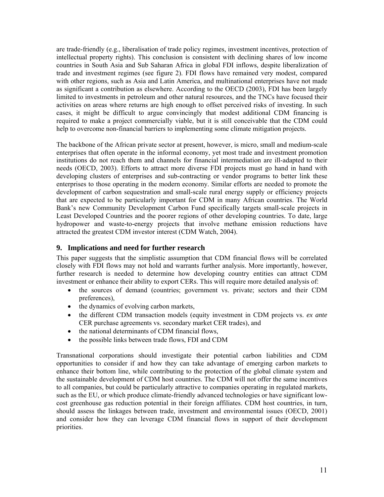are trade-friendly (e.g., liberalisation of trade policy regimes, investment incentives, protection of intellectual property rights). This conclusion is consistent with declining shares of low income countries in South Asia and Sub Saharan Africa in global FDI inflows, despite liberalization of trade and investment regimes (see figure 2). FDI flows have remained very modest, compared with other regions, such as Asia and Latin America, and multinational enterprises have not made as significant a contribution as elsewhere. According to the OECD (2003), FDI has been largely limited to investments in petroleum and other natural resources, and the TNCs have focused their activities on areas where returns are high enough to offset perceived risks of investing. In such cases, it might be difficult to argue convincingly that modest additional CDM financing is required to make a project commercially viable, but it is still conceivable that the CDM could help to overcome non-financial barriers to implementing some climate mitigation projects.

The backbone of the African private sector at present, however, is micro, small and medium-scale enterprises that often operate in the informal economy, yet most trade and investment promotion institutions do not reach them and channels for financial intermediation are ill-adapted to their needs (OECD, 2003). Efforts to attract more diverse FDI projects must go hand in hand with developing clusters of enterprises and sub-contracting or vendor programs to better link these enterprises to those operating in the modern economy. Similar efforts are needed to promote the development of carbon sequestration and small-scale rural energy supply or efficiency projects that are expected to be particularly important for CDM in many African countries. The World Bank's new Community Development Carbon Fund specifically targets small-scale projects in Least Developed Countries and the poorer regions of other developing countries. To date, large hydropower and waste-to-energy projects that involve methane emission reductions have attracted the greatest CDM investor interest (CDM Watch, 2004).

#### **9. Implications and need for further research**

This paper suggests that the simplistic assumption that CDM financial flows will be correlated closely with FDI flows may not hold and warrants further analysis. More importantly, however, further research is needed to determine how developing country entities can attract CDM investment or enhance their ability to export CERs. This will require more detailed analysis of:

- the sources of demand (countries; government vs. private; sectors and their CDM preferences),
- the dynamics of evolving carbon markets,
- the different CDM transaction models (equity investment in CDM projects vs. *ex ante* CER purchase agreements vs. secondary market CER trades), and
- the national determinants of CDM financial flows,
- the possible links between trade flows, FDI and CDM

Transnational corporations should investigate their potential carbon liabilities and CDM opportunities to consider if and how they can take advantage of emerging carbon markets to enhance their bottom line, while contributing to the protection of the global climate system and the sustainable development of CDM host countries. The CDM will not offer the same incentives to all companies, but could be particularly attractive to companies operating in regulated markets, such as the EU, or which produce climate-friendly advanced technologies or have significant lowcost greenhouse gas reduction potential in their foreign affiliates. CDM host countries, in turn, should assess the linkages between trade, investment and environmental issues (OECD, 2001) and consider how they can leverage CDM financial flows in support of their development priorities.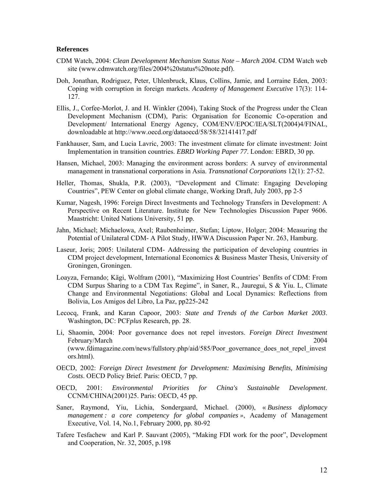#### **References**

- CDM Watch, 2004: *Clean Development Mechanism Status Note March 2004*. CDM Watch web site (www.cdmwatch.org/files/2004%20status%20note.pdf).
- Doh, Jonathan, Rodriguez, Peter, Uhlenbruck, Klaus, Collins, Jamie, and Lorraine Eden, 2003: Coping with corruption in foreign markets. *Academy of Management Executive* 17(3): 114- 127.
- Ellis, J., Corfee-Morlot, J. and H. Winkler (2004), Taking Stock of the Progress under the Clean Development Mechanism (CDM), Paris: Organisation for Economic Co-operation and Development/ International Energy Agency, COM/ENV/EPOC/IEA/SLT(2004)4/FINAL, downloadable at http://www.oecd.org/dataoecd/58/58/32141417.pdf
- Fankhauser, Sam, and Lucia Lavric, 2003: The investment climate for climate investment: Joint Implementation in transition countries. *EBRD Working Paper 77*. London: EBRD, 30 pp.
- Hansen, Michael, 2003: Managing the environment across borders: A survey of environmental management in transnational corporations in Asia. *Transnational Corporations* 12(1): 27-52.
- Heller, Thomas, Shukla, P.R. (2003), "Development and Climate: Engaging Developing Countries", PEW Center on global climate change, Working Draft, July 2003, pp 2-5
- Kumar, Nagesh, 1996: Foreign Direct Investments and Technology Transfers in Development: A Perspective on Recent Literature. Institute for New Technologies Discussion Paper 9606. Maastricht: United Nations University, 51 pp.
- Jahn, Michael; Michaelowa, Axel; Raubenheimer, Stefan; Liptow, Holger; 2004: Measuring the Potential of Unilateral CDM- A Pilot Study, HWWA Discussion Paper Nr. 263, Hamburg.
- Laseur, Joris; 2005: Unilateral CDM- Addressing the participation of developing countries in CDM project development, International Economics & Business Master Thesis, University of Groningen, Groningen.
- Loayza, Fernando; Kägi, Wolfram (2001), "Maximizing Host Countries' Benfits of CDM: From CDM Surpus Sharing to a CDM Tax Regime", in Saner, R., Jauregui, S & Yiu. L, Climate Change and Environmental Negotiations: Global and Local Dynamics: Reflections from Bolivia, Los Amigos del Libro, La Paz, pp225-242
- Lecocq, Frank, and Karan Capoor, 2003: *State and Trends of the Carbon Market 2003*. Washington, DC: PCF*plus* Research, pp. 28.
- Li, Shaomin, 2004: Poor governance does not repel investors. *Foreign Direct Investment* February/March 2004 (www.fdimagazine.com/news/fullstory.php/aid/585/Poor\_governance\_does\_not\_repel\_invest ors.html).
- OECD, 2002: *Foreign Direct Investment for Development: Maximising Benefits, Minimising Costs*. OECD Policy Brief. Paris: OECD, 7 pp.
- OECD, 2001: *Environmental Priorities for China's Sustainable Development*. CCNM/CHINA(2001)25. Paris: OECD, 45 pp.
- Saner, Raymond, Yiu, Lichia, Sondergaard, Michael. (2000), « *Business diplomacy management : a core competency for global companies »*, Academy of Management Executive, Vol. 14, No.1, February 2000, pp. 80-92
- Tafere Tesfachew and Karl P. Sauvant (2005), "Making FDI work for the poor", Development and Cooperation, Nr. 32, 2005, p.198